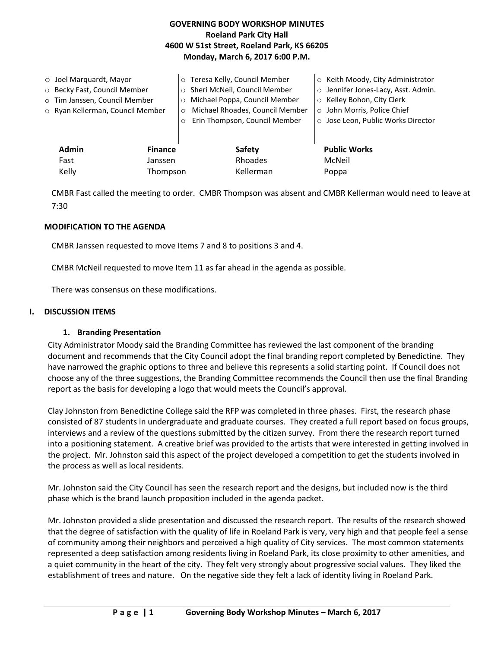## **GOVERNING BODY WORKSHOP MINUTES Roeland Park City Hall 4600 W 51st Street, Roeland Park, KS 66205 Monday, March 6, 2017 6:00 P.M.**

| $\circ$ Joel Marguardt, Mayor<br>o Becky Fast, Council Member<br>o Tim Janssen, Council Member<br>o Ryan Kellerman, Council Member | $\Omega$<br>$\circ$       | o Teresa Kelly, Council Member<br>o Sheri McNeil, Council Member<br>o Michael Poppa, Council Member<br>Michael Rhoades, Council Member<br>Erin Thompson, Council Member | ○ Keith Moody, City Administrator<br>Jennifer Jones-Lacy, Asst. Admin.<br>$\circ$<br>○ Kelley Bohon, City Clerk<br>o John Morris, Police Chief<br>o Jose Leon, Public Works Director |
|------------------------------------------------------------------------------------------------------------------------------------|---------------------------|-------------------------------------------------------------------------------------------------------------------------------------------------------------------------|--------------------------------------------------------------------------------------------------------------------------------------------------------------------------------------|
| Admin<br>Fast                                                                                                                      | <b>Finance</b><br>Janssen | <b>Safety</b><br>Rhoades                                                                                                                                                | <b>Public Works</b><br>McNeil                                                                                                                                                        |
| Kelly<br>Thompson                                                                                                                  |                           | Kellerman                                                                                                                                                               | Poppa                                                                                                                                                                                |

CMBR Fast called the meeting to order. CMBR Thompson was absent and CMBR Kellerman would need to leave at 7:30

#### **MODIFICATION TO THE AGENDA**

CMBR Janssen requested to move Items 7 and 8 to positions 3 and 4.

CMBR McNeil requested to move Item 11 as far ahead in the agenda as possible.

There was consensus on these modifications.

#### **I. DISCUSSION ITEMS**

#### **1. Branding Presentation**

City Administrator Moody said the Branding Committee has reviewed the last component of the branding document and recommends that the City Council adopt the final branding report completed by Benedictine. They have narrowed the graphic options to three and believe this represents a solid starting point. If Council does not choose any of the three suggestions, the Branding Committee recommends the Council then use the final Branding report as the basis for developing a logo that would meets the Council's approval.

Clay Johnston from Benedictine College said the RFP was completed in three phases. First, the research phase consisted of 87 students in undergraduate and graduate courses. They created a full report based on focus groups, interviews and a review of the questions submitted by the citizen survey. From there the research report turned into a positioning statement. A creative brief was provided to the artists that were interested in getting involved in the project. Mr. Johnston said this aspect of the project developed a competition to get the students involved in the process as well as local residents.

Mr. Johnston said the City Council has seen the research report and the designs, but included now is the third phase which is the brand launch proposition included in the agenda packet.

Mr. Johnston provided a slide presentation and discussed the research report. The results of the research showed that the degree of satisfaction with the quality of life in Roeland Park is very, very high and that people feel a sense of community among their neighbors and perceived a high quality of City services. The most common statements represented a deep satisfaction among residents living in Roeland Park, its close proximity to other amenities, and a quiet community in the heart of the city. They felt very strongly about progressive social values. They liked the establishment of trees and nature. On the negative side they felt a lack of identity living in Roeland Park.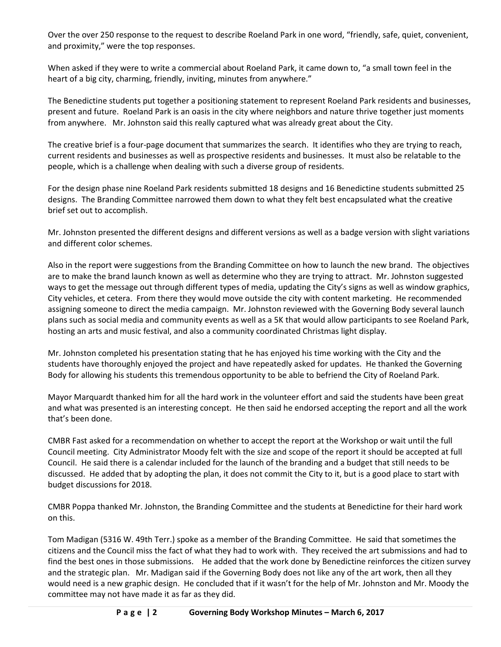Over the over 250 response to the request to describe Roeland Park in one word, "friendly, safe, quiet, convenient, and proximity," were the top responses.

When asked if they were to write a commercial about Roeland Park, it came down to, "a small town feel in the heart of a big city, charming, friendly, inviting, minutes from anywhere."

The Benedictine students put together a positioning statement to represent Roeland Park residents and businesses, present and future. Roeland Park is an oasis in the city where neighbors and nature thrive together just moments from anywhere. Mr. Johnston said this really captured what was already great about the City.

The creative brief is a four-page document that summarizes the search. It identifies who they are trying to reach, current residents and businesses as well as prospective residents and businesses. It must also be relatable to the people, which is a challenge when dealing with such a diverse group of residents.

For the design phase nine Roeland Park residents submitted 18 designs and 16 Benedictine students submitted 25 designs. The Branding Committee narrowed them down to what they felt best encapsulated what the creative brief set out to accomplish.

Mr. Johnston presented the different designs and different versions as well as a badge version with slight variations and different color schemes.

Also in the report were suggestions from the Branding Committee on how to launch the new brand. The objectives are to make the brand launch known as well as determine who they are trying to attract. Mr. Johnston suggested ways to get the message out through different types of media, updating the City's signs as well as window graphics, City vehicles, et cetera. From there they would move outside the city with content marketing. He recommended assigning someone to direct the media campaign. Mr. Johnston reviewed with the Governing Body several launch plans such as social media and community events as well as a 5K that would allow participants to see Roeland Park, hosting an arts and music festival, and also a community coordinated Christmas light display.

Mr. Johnston completed his presentation stating that he has enjoyed his time working with the City and the students have thoroughly enjoyed the project and have repeatedly asked for updates. He thanked the Governing Body for allowing his students this tremendous opportunity to be able to befriend the City of Roeland Park.

Mayor Marquardt thanked him for all the hard work in the volunteer effort and said the students have been great and what was presented is an interesting concept. He then said he endorsed accepting the report and all the work that's been done.

CMBR Fast asked for a recommendation on whether to accept the report at the Workshop or wait until the full Council meeting. City Administrator Moody felt with the size and scope of the report it should be accepted at full Council. He said there is a calendar included for the launch of the branding and a budget that still needs to be discussed. He added that by adopting the plan, it does not commit the City to it, but is a good place to start with budget discussions for 2018.

CMBR Poppa thanked Mr. Johnston, the Branding Committee and the students at Benedictine for their hard work on this.

Tom Madigan (5316 W. 49th Terr.) spoke as a member of the Branding Committee. He said that sometimes the citizens and the Council miss the fact of what they had to work with. They received the art submissions and had to find the best ones in those submissions. He added that the work done by Benedictine reinforces the citizen survey and the strategic plan. Mr. Madigan said if the Governing Body does not like any of the art work, then all they would need is a new graphic design. He concluded that if it wasn't for the help of Mr. Johnston and Mr. Moody the committee may not have made it as far as they did.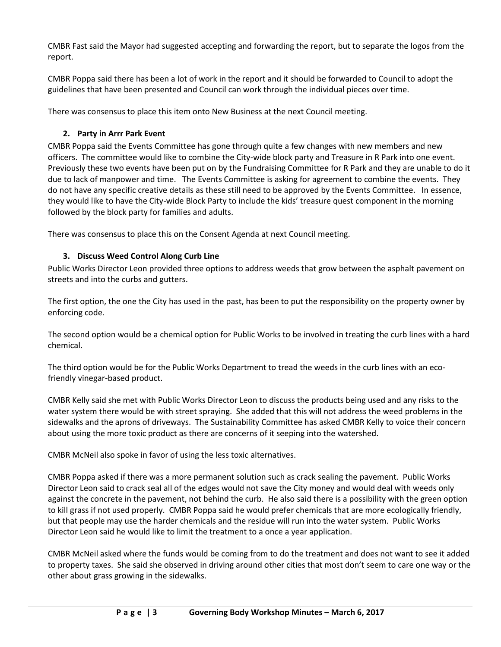CMBR Fast said the Mayor had suggested accepting and forwarding the report, but to separate the logos from the report.

CMBR Poppa said there has been a lot of work in the report and it should be forwarded to Council to adopt the guidelines that have been presented and Council can work through the individual pieces over time.

There was consensus to place this item onto New Business at the next Council meeting.

# **2. Party in Arrr Park Event**

CMBR Poppa said the Events Committee has gone through quite a few changes with new members and new officers. The committee would like to combine the City-wide block party and Treasure in R Park into one event. Previously these two events have been put on by the Fundraising Committee for R Park and they are unable to do it due to lack of manpower and time. The Events Committee is asking for agreement to combine the events. They do not have any specific creative details as these still need to be approved by the Events Committee. In essence, they would like to have the City-wide Block Party to include the kids' treasure quest component in the morning followed by the block party for families and adults.

There was consensus to place this on the Consent Agenda at next Council meeting.

# **3. Discuss Weed Control Along Curb Line**

Public Works Director Leon provided three options to address weeds that grow between the asphalt pavement on streets and into the curbs and gutters.

The first option, the one the City has used in the past, has been to put the responsibility on the property owner by enforcing code.

The second option would be a chemical option for Public Works to be involved in treating the curb lines with a hard chemical.

The third option would be for the Public Works Department to tread the weeds in the curb lines with an ecofriendly vinegar-based product.

CMBR Kelly said she met with Public Works Director Leon to discuss the products being used and any risks to the water system there would be with street spraying. She added that this will not address the weed problems in the sidewalks and the aprons of driveways. The Sustainability Committee has asked CMBR Kelly to voice their concern about using the more toxic product as there are concerns of it seeping into the watershed.

CMBR McNeil also spoke in favor of using the less toxic alternatives.

CMBR Poppa asked if there was a more permanent solution such as crack sealing the pavement. Public Works Director Leon said to crack seal all of the edges would not save the City money and would deal with weeds only against the concrete in the pavement, not behind the curb. He also said there is a possibility with the green option to kill grass if not used properly. CMBR Poppa said he would prefer chemicals that are more ecologically friendly, but that people may use the harder chemicals and the residue will run into the water system. Public Works Director Leon said he would like to limit the treatment to a once a year application.

CMBR McNeil asked where the funds would be coming from to do the treatment and does not want to see it added to property taxes. She said she observed in driving around other cities that most don't seem to care one way or the other about grass growing in the sidewalks.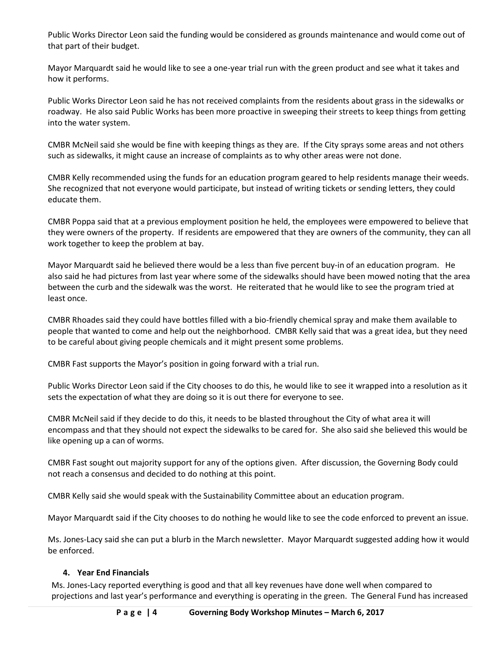Public Works Director Leon said the funding would be considered as grounds maintenance and would come out of that part of their budget.

Mayor Marquardt said he would like to see a one-year trial run with the green product and see what it takes and how it performs.

Public Works Director Leon said he has not received complaints from the residents about grass in the sidewalks or roadway. He also said Public Works has been more proactive in sweeping their streets to keep things from getting into the water system.

CMBR McNeil said she would be fine with keeping things as they are. If the City sprays some areas and not others such as sidewalks, it might cause an increase of complaints as to why other areas were not done.

CMBR Kelly recommended using the funds for an education program geared to help residents manage their weeds. She recognized that not everyone would participate, but instead of writing tickets or sending letters, they could educate them.

CMBR Poppa said that at a previous employment position he held, the employees were empowered to believe that they were owners of the property. If residents are empowered that they are owners of the community, they can all work together to keep the problem at bay.

Mayor Marquardt said he believed there would be a less than five percent buy-in of an education program. He also said he had pictures from last year where some of the sidewalks should have been mowed noting that the area between the curb and the sidewalk was the worst. He reiterated that he would like to see the program tried at least once.

CMBR Rhoades said they could have bottles filled with a bio-friendly chemical spray and make them available to people that wanted to come and help out the neighborhood. CMBR Kelly said that was a great idea, but they need to be careful about giving people chemicals and it might present some problems.

CMBR Fast supports the Mayor's position in going forward with a trial run.

Public Works Director Leon said if the City chooses to do this, he would like to see it wrapped into a resolution as it sets the expectation of what they are doing so it is out there for everyone to see.

CMBR McNeil said if they decide to do this, it needs to be blasted throughout the City of what area it will encompass and that they should not expect the sidewalks to be cared for. She also said she believed this would be like opening up a can of worms.

CMBR Fast sought out majority support for any of the options given. After discussion, the Governing Body could not reach a consensus and decided to do nothing at this point.

CMBR Kelly said she would speak with the Sustainability Committee about an education program.

Mayor Marquardt said if the City chooses to do nothing he would like to see the code enforced to prevent an issue.

Ms. Jones-Lacy said she can put a blurb in the March newsletter. Mayor Marquardt suggested adding how it would be enforced.

### **4. Year End Financials**

Ms. Jones-Lacy reported everything is good and that all key revenues have done well when compared to projections and last year's performance and everything is operating in the green. The General Fund has increased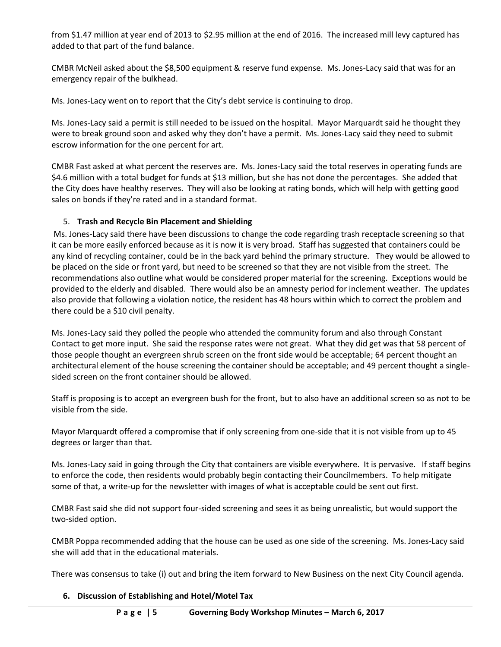from \$1.47 million at year end of 2013 to \$2.95 million at the end of 2016. The increased mill levy captured has added to that part of the fund balance.

CMBR McNeil asked about the \$8,500 equipment & reserve fund expense. Ms. Jones-Lacy said that was for an emergency repair of the bulkhead.

Ms. Jones-Lacy went on to report that the City's debt service is continuing to drop.

Ms. Jones-Lacy said a permit is still needed to be issued on the hospital. Mayor Marquardt said he thought they were to break ground soon and asked why they don't have a permit. Ms. Jones-Lacy said they need to submit escrow information for the one percent for art.

CMBR Fast asked at what percent the reserves are. Ms. Jones-Lacy said the total reserves in operating funds are \$4.6 million with a total budget for funds at \$13 million, but she has not done the percentages. She added that the City does have healthy reserves. They will also be looking at rating bonds, which will help with getting good sales on bonds if they're rated and in a standard format.

## 5. **Trash and Recycle Bin Placement and Shielding**

Ms. Jones-Lacy said there have been discussions to change the code regarding trash receptacle screening so that it can be more easily enforced because as it is now it is very broad. Staff has suggested that containers could be any kind of recycling container, could be in the back yard behind the primary structure. They would be allowed to be placed on the side or front yard, but need to be screened so that they are not visible from the street. The recommendations also outline what would be considered proper material for the screening. Exceptions would be provided to the elderly and disabled. There would also be an amnesty period for inclement weather. The updates also provide that following a violation notice, the resident has 48 hours within which to correct the problem and there could be a \$10 civil penalty.

Ms. Jones-Lacy said they polled the people who attended the community forum and also through Constant Contact to get more input. She said the response rates were not great. What they did get was that 58 percent of those people thought an evergreen shrub screen on the front side would be acceptable; 64 percent thought an architectural element of the house screening the container should be acceptable; and 49 percent thought a singlesided screen on the front container should be allowed.

Staff is proposing is to accept an evergreen bush for the front, but to also have an additional screen so as not to be visible from the side.

Mayor Marquardt offered a compromise that if only screening from one-side that it is not visible from up to 45 degrees or larger than that.

Ms. Jones-Lacy said in going through the City that containers are visible everywhere. It is pervasive. If staff begins to enforce the code, then residents would probably begin contacting their Councilmembers. To help mitigate some of that, a write-up for the newsletter with images of what is acceptable could be sent out first.

CMBR Fast said she did not support four-sided screening and sees it as being unrealistic, but would support the two-sided option.

CMBR Poppa recommended adding that the house can be used as one side of the screening. Ms. Jones-Lacy said she will add that in the educational materials.

There was consensus to take (i) out and bring the item forward to New Business on the next City Council agenda.

### **6. Discussion of Establishing and Hotel/Motel Tax**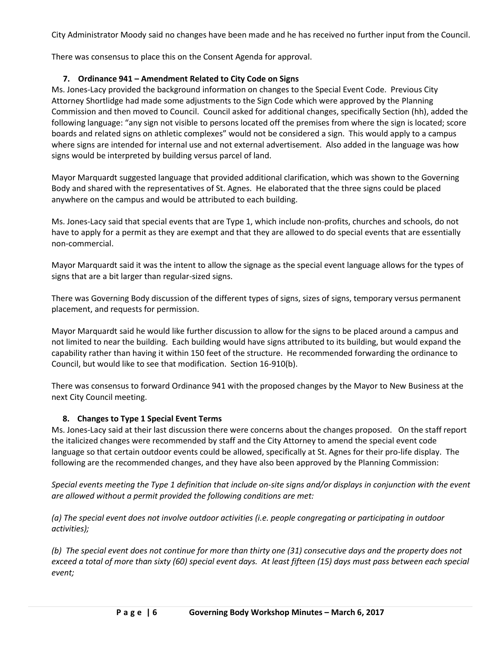City Administrator Moody said no changes have been made and he has received no further input from the Council.

There was consensus to place this on the Consent Agenda for approval.

## **7. Ordinance 941 – Amendment Related to City Code on Signs**

Ms. Jones-Lacy provided the background information on changes to the Special Event Code. Previous City Attorney Shortlidge had made some adjustments to the Sign Code which were approved by the Planning Commission and then moved to Council. Council asked for additional changes, specifically Section (hh), added the following language: "any sign not visible to persons located off the premises from where the sign is located; score boards and related signs on athletic complexes" would not be considered a sign. This would apply to a campus where signs are intended for internal use and not external advertisement. Also added in the language was how signs would be interpreted by building versus parcel of land.

Mayor Marquardt suggested language that provided additional clarification, which was shown to the Governing Body and shared with the representatives of St. Agnes. He elaborated that the three signs could be placed anywhere on the campus and would be attributed to each building.

Ms. Jones-Lacy said that special events that are Type 1, which include non-profits, churches and schools, do not have to apply for a permit as they are exempt and that they are allowed to do special events that are essentially non-commercial.

Mayor Marquardt said it was the intent to allow the signage as the special event language allows for the types of signs that are a bit larger than regular-sized signs.

There was Governing Body discussion of the different types of signs, sizes of signs, temporary versus permanent placement, and requests for permission.

Mayor Marquardt said he would like further discussion to allow for the signs to be placed around a campus and not limited to near the building. Each building would have signs attributed to its building, but would expand the capability rather than having it within 150 feet of the structure. He recommended forwarding the ordinance to Council, but would like to see that modification. Section 16-910(b).

There was consensus to forward Ordinance 941 with the proposed changes by the Mayor to New Business at the next City Council meeting.

### **8. Changes to Type 1 Special Event Terms**

Ms. Jones-Lacy said at their last discussion there were concerns about the changes proposed. On the staff report the italicized changes were recommended by staff and the City Attorney to amend the special event code language so that certain outdoor events could be allowed, specifically at St. Agnes for their pro-life display. The following are the recommended changes, and they have also been approved by the Planning Commission:

*Special events meeting the Type 1 definition that include on-site signs and/or displays in conjunction with the event are allowed without a permit provided the following conditions are met:*

*(a) The special event does not involve outdoor activities (i.e. people congregating or participating in outdoor activities);*

*(b) The special event does not continue for more than thirty one (31) consecutive days and the property does not exceed a total of more than sixty (60) special event days. At least fifteen (15) days must pass between each special event;*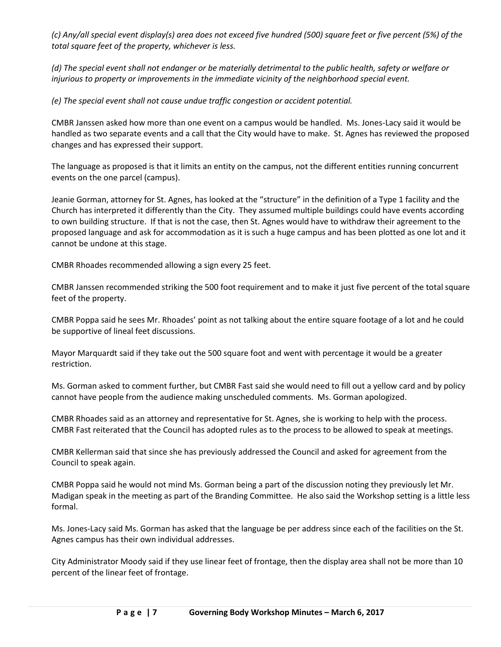*(c) Any/all special event display(s) area does not exceed five hundred (500) square feet or five percent (5%) of the total square feet of the property, whichever is less.*

*(d) The special event shall not endanger or be materially detrimental to the public health, safety or welfare or injurious to property or improvements in the immediate vicinity of the neighborhood special event.*

*(e) The special event shall not cause undue traffic congestion or accident potential.*

CMBR Janssen asked how more than one event on a campus would be handled. Ms. Jones-Lacy said it would be handled as two separate events and a call that the City would have to make. St. Agnes has reviewed the proposed changes and has expressed their support.

The language as proposed is that it limits an entity on the campus, not the different entities running concurrent events on the one parcel (campus).

Jeanie Gorman, attorney for St. Agnes, has looked at the "structure" in the definition of a Type 1 facility and the Church has interpreted it differently than the City. They assumed multiple buildings could have events according to own building structure. If that is not the case, then St. Agnes would have to withdraw their agreement to the proposed language and ask for accommodation as it is such a huge campus and has been plotted as one lot and it cannot be undone at this stage.

CMBR Rhoades recommended allowing a sign every 25 feet.

CMBR Janssen recommended striking the 500 foot requirement and to make it just five percent of the total square feet of the property.

CMBR Poppa said he sees Mr. Rhoades' point as not talking about the entire square footage of a lot and he could be supportive of lineal feet discussions.

Mayor Marquardt said if they take out the 500 square foot and went with percentage it would be a greater restriction.

Ms. Gorman asked to comment further, but CMBR Fast said she would need to fill out a yellow card and by policy cannot have people from the audience making unscheduled comments. Ms. Gorman apologized.

CMBR Rhoades said as an attorney and representative for St. Agnes, she is working to help with the process. CMBR Fast reiterated that the Council has adopted rules as to the process to be allowed to speak at meetings.

CMBR Kellerman said that since she has previously addressed the Council and asked for agreement from the Council to speak again.

CMBR Poppa said he would not mind Ms. Gorman being a part of the discussion noting they previously let Mr. Madigan speak in the meeting as part of the Branding Committee. He also said the Workshop setting is a little less formal.

Ms. Jones-Lacy said Ms. Gorman has asked that the language be per address since each of the facilities on the St. Agnes campus has their own individual addresses.

City Administrator Moody said if they use linear feet of frontage, then the display area shall not be more than 10 percent of the linear feet of frontage.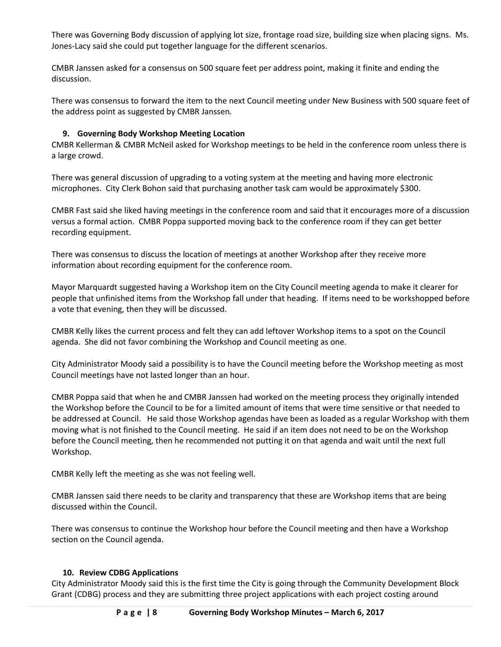There was Governing Body discussion of applying lot size, frontage road size, building size when placing signs. Ms. Jones-Lacy said she could put together language for the different scenarios.

CMBR Janssen asked for a consensus on 500 square feet per address point, making it finite and ending the discussion.

There was consensus to forward the item to the next Council meeting under New Business with 500 square feet of the address point as suggested by CMBR Janssen*.* 

### **9. Governing Body Workshop Meeting Location**

CMBR Kellerman & CMBR McNeil asked for Workshop meetings to be held in the conference room unless there is a large crowd.

There was general discussion of upgrading to a voting system at the meeting and having more electronic microphones. City Clerk Bohon said that purchasing another task cam would be approximately \$300.

CMBR Fast said she liked having meetings in the conference room and said that it encourages more of a discussion versus a formal action. CMBR Poppa supported moving back to the conference room if they can get better recording equipment.

There was consensus to discuss the location of meetings at another Workshop after they receive more information about recording equipment for the conference room.

Mayor Marquardt suggested having a Workshop item on the City Council meeting agenda to make it clearer for people that unfinished items from the Workshop fall under that heading. If items need to be workshopped before a vote that evening, then they will be discussed.

CMBR Kelly likes the current process and felt they can add leftover Workshop items to a spot on the Council agenda. She did not favor combining the Workshop and Council meeting as one.

City Administrator Moody said a possibility is to have the Council meeting before the Workshop meeting as most Council meetings have not lasted longer than an hour.

CMBR Poppa said that when he and CMBR Janssen had worked on the meeting process they originally intended the Workshop before the Council to be for a limited amount of items that were time sensitive or that needed to be addressed at Council. He said those Workshop agendas have been as loaded as a regular Workshop with them moving what is not finished to the Council meeting. He said if an item does not need to be on the Workshop before the Council meeting, then he recommended not putting it on that agenda and wait until the next full Workshop.

CMBR Kelly left the meeting as she was not feeling well.

CMBR Janssen said there needs to be clarity and transparency that these are Workshop items that are being discussed within the Council.

There was consensus to continue the Workshop hour before the Council meeting and then have a Workshop section on the Council agenda.

### **10. Review CDBG Applications**

City Administrator Moody said this is the first time the City is going through the Community Development Block Grant (CDBG) process and they are submitting three project applications with each project costing around